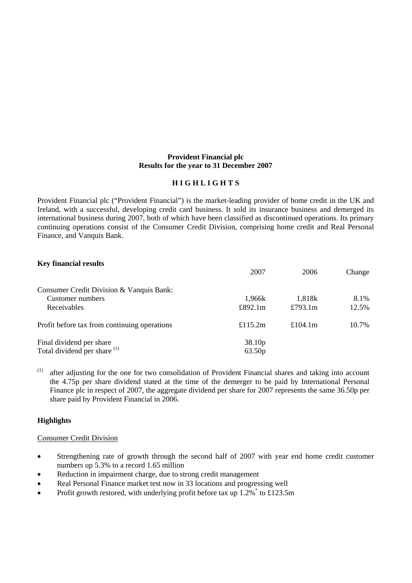### **Provident Financial plc Results for the year to 31 December 2007**

## **H I G H L I G H T S**

Provident Financial plc ("Provident Financial") is the market-leading provider of home credit in the UK and Ireland, with a successful, developing credit card business. It sold its insurance business and demerged its international business during 2007, both of which have been classified as discontinued operations. Its primary continuing operations consist of the Consumer Credit Division, comprising home credit and Real Personal Finance, and Vanquis Bank.

# **Key financial results**

|                                              | 2007               | 2006       | Change |
|----------------------------------------------|--------------------|------------|--------|
| Consumer Credit Division & Vanquis Bank:     |                    |            |        |
| Customer numbers                             | 1,966k             | 1,818k     | 8.1%   |
| Receivables                                  | £892.1 $m$         | £793.1 $m$ | 12.5%  |
| Profit before tax from continuing operations | £115.2m            | £104.1 $m$ | 10.7%  |
| Final dividend per share                     | 38.10 <sub>p</sub> |            |        |
| Total dividend per share (1)                 | 63.50p             |            |        |

(1) after adjusting for the one for two consolidation of Provident Financial shares and taking into account the 4.75p per share dividend stated at the time of the demerger to be paid by International Personal Finance plc in respect of 2007, the aggregate dividend per share for 2007 represents the same 36.50p per share paid by Provident Financial in 2006.

## **Highlights**

# Consumer Credit Division

- Strengthening rate of growth through the second half of 2007 with year end home credit customer numbers up 5.3% to a record 1.65 million
- Reduction in impairment charge, due to strong credit management
- Real Personal Finance market test now in 33 locations and progressing well
- Profit growth restored, with underlying profit before tax up  $1.2\%$  to £123.5m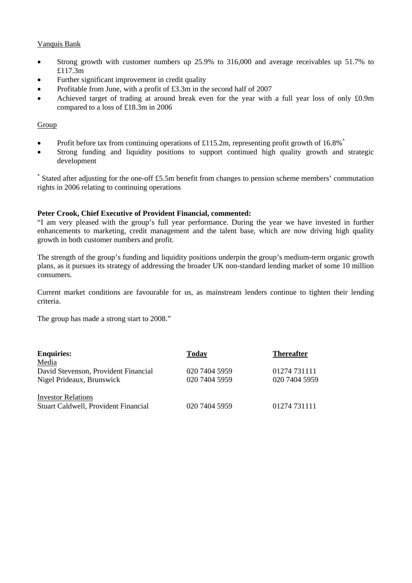# Vanquis Bank

- Strong growth with customer numbers up 25.9% to 316,000 and average receivables up 51.7% to £117.3m
- Further significant improvement in credit quality
- Profitable from June, with a profit of £3.3m in the second half of 2007
- Achieved target of trading at around break even for the year with a full year loss of only £0.9m compared to a loss of £18.3m in 2006

# Group

- Profit before tax from continuing operations of £115.2m, representing profit growth of 16.8% $*$
- Strong funding and liquidity positions to support continued high quality growth and strategic development

\* Stated after adjusting for the one-off £5.5m benefit from changes to pension scheme members' commutation rights in 2006 relating to continuing operations

## **Peter Crook, Chief Executive of Provident Financial, commented:**

"I am very pleased with the group's full year performance. During the year we have invested in further enhancements to marketing, credit management and the talent base, which are now driving high quality growth in both customer numbers and profit.

The strength of the group's funding and liquidity positions underpin the group's medium-term organic growth plans, as it pursues its strategy of addressing the broader UK non-standard lending market of some 10 million consumers.

Current market conditions are favourable for us, as mainstream lenders continue to tighten their lending criteria.

The group has made a strong start to 2008."

| <b>Enquiries:</b>                           | Today         | <b>Thereafter</b> |
|---------------------------------------------|---------------|-------------------|
| Media                                       |               |                   |
| David Stevenson, Provident Financial        | 020 7404 5959 | 01274 731111      |
| Nigel Prideaux, Brunswick                   | 020 7404 5959 | 020 7404 5959     |
| <b>Investor Relations</b>                   |               |                   |
| <b>Stuart Caldwell, Provident Financial</b> | 020 7404 5959 | 01274 731111      |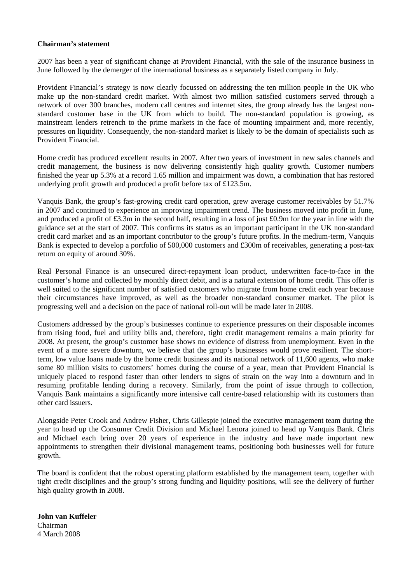### **Chairman's statement**

2007 has been a year of significant change at Provident Financial, with the sale of the insurance business in June followed by the demerger of the international business as a separately listed company in July.

Provident Financial's strategy is now clearly focussed on addressing the ten million people in the UK who make up the non-standard credit market. With almost two million satisfied customers served through a network of over 300 branches, modern call centres and internet sites, the group already has the largest nonstandard customer base in the UK from which to build. The non-standard population is growing, as mainstream lenders retrench to the prime markets in the face of mounting impairment and, more recently, pressures on liquidity. Consequently, the non-standard market is likely to be the domain of specialists such as Provident Financial.

Home credit has produced excellent results in 2007. After two years of investment in new sales channels and credit management, the business is now delivering consistently high quality growth. Customer numbers finished the year up 5.3% at a record 1.65 million and impairment was down, a combination that has restored underlying profit growth and produced a profit before tax of £123.5m.

Vanquis Bank, the group's fast-growing credit card operation, grew average customer receivables by 51.7% in 2007 and continued to experience an improving impairment trend. The business moved into profit in June, and produced a profit of £3.3m in the second half, resulting in a loss of just £0.9m for the year in line with the guidance set at the start of 2007. This confirms its status as an important participant in the UK non-standard credit card market and as an important contributor to the group's future profits. In the medium-term, Vanquis Bank is expected to develop a portfolio of 500,000 customers and £300m of receivables, generating a post-tax return on equity of around 30%.

Real Personal Finance is an unsecured direct-repayment loan product, underwritten face-to-face in the customer's home and collected by monthly direct debit, and is a natural extension of home credit. This offer is well suited to the significant number of satisfied customers who migrate from home credit each year because their circumstances have improved, as well as the broader non-standard consumer market. The pilot is progressing well and a decision on the pace of national roll-out will be made later in 2008.

Customers addressed by the group's businesses continue to experience pressures on their disposable incomes from rising food, fuel and utility bills and, therefore, tight credit management remains a main priority for 2008. At present, the group's customer base shows no evidence of distress from unemployment. Even in the event of a more severe downturn, we believe that the group's businesses would prove resilient. The shortterm, low value loans made by the home credit business and its national network of 11,600 agents, who make some 80 million visits to customers' homes during the course of a year, mean that Provident Financial is uniquely placed to respond faster than other lenders to signs of strain on the way into a downturn and in resuming profitable lending during a recovery. Similarly, from the point of issue through to collection, Vanquis Bank maintains a significantly more intensive call centre-based relationship with its customers than other card issuers.

Alongside Peter Crook and Andrew Fisher, Chris Gillespie joined the executive management team during the year to head up the Consumer Credit Division and Michael Lenora joined to head up Vanquis Bank. Chris and Michael each bring over 20 years of experience in the industry and have made important new appointments to strengthen their divisional management teams, positioning both businesses well for future growth.

The board is confident that the robust operating platform established by the management team, together with tight credit disciplines and the group's strong funding and liquidity positions, will see the delivery of further high quality growth in 2008.

**John van Kuffeler**  Chairman 4 March 2008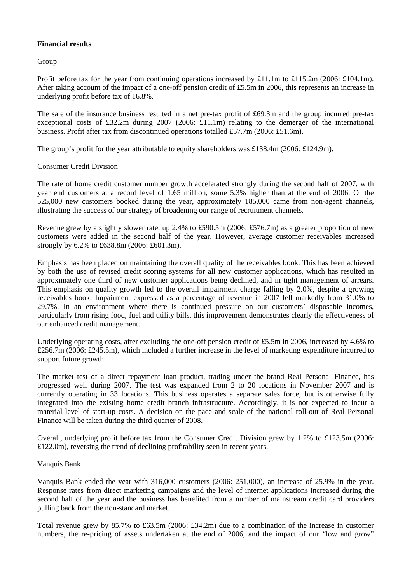# **Financial results**

Group

Profit before tax for the year from continuing operations increased by £11.1m to £115.2m (2006: £104.1m). After taking account of the impact of a one-off pension credit of £5.5m in 2006, this represents an increase in underlying profit before tax of 16.8%.

The sale of the insurance business resulted in a net pre-tax profit of £69.3m and the group incurred pre-tax exceptional costs of £32.2m during 2007 (2006: £11.1m) relating to the demerger of the international business. Profit after tax from discontinued operations totalled £57.7m (2006: £51.6m).

The group's profit for the year attributable to equity shareholders was £138.4m (2006: £124.9m).

## Consumer Credit Division

The rate of home credit customer number growth accelerated strongly during the second half of 2007, with year end customers at a record level of 1.65 million, some 5.3% higher than at the end of 2006. Of the 525,000 new customers booked during the year, approximately 185,000 came from non-agent channels, illustrating the success of our strategy of broadening our range of recruitment channels.

Revenue grew by a slightly slower rate, up 2.4% to £590.5m (2006: £576.7m) as a greater proportion of new customers were added in the second half of the year. However, average customer receivables increased strongly by 6.2% to £638.8m (2006: £601.3m).

Emphasis has been placed on maintaining the overall quality of the receivables book. This has been achieved by both the use of revised credit scoring systems for all new customer applications, which has resulted in approximately one third of new customer applications being declined, and in tight management of arrears. This emphasis on quality growth led to the overall impairment charge falling by 2.0%, despite a growing receivables book. Impairment expressed as a percentage of revenue in 2007 fell markedly from 31.0% to 29.7%. In an environment where there is continued pressure on our customers' disposable incomes, particularly from rising food, fuel and utility bills, this improvement demonstrates clearly the effectiveness of our enhanced credit management.

Underlying operating costs, after excluding the one-off pension credit of £5.5m in 2006, increased by 4.6% to £256.7m (2006: £245.5m), which included a further increase in the level of marketing expenditure incurred to support future growth.

The market test of a direct repayment loan product, trading under the brand Real Personal Finance, has progressed well during 2007. The test was expanded from 2 to 20 locations in November 2007 and is currently operating in 33 locations. This business operates a separate sales force, but is otherwise fully integrated into the existing home credit branch infrastructure. Accordingly, it is not expected to incur a material level of start-up costs. A decision on the pace and scale of the national roll-out of Real Personal Finance will be taken during the third quarter of 2008.

Overall, underlying profit before tax from the Consumer Credit Division grew by 1.2% to £123.5m (2006: £122.0m), reversing the trend of declining profitability seen in recent years.

## Vanquis Bank

Vanquis Bank ended the year with 316,000 customers (2006: 251,000), an increase of 25.9% in the year. Response rates from direct marketing campaigns and the level of internet applications increased during the second half of the year and the business has benefited from a number of mainstream credit card providers pulling back from the non-standard market.

Total revenue grew by 85.7% to £63.5m (2006: £34.2m) due to a combination of the increase in customer numbers, the re-pricing of assets undertaken at the end of 2006, and the impact of our "low and grow"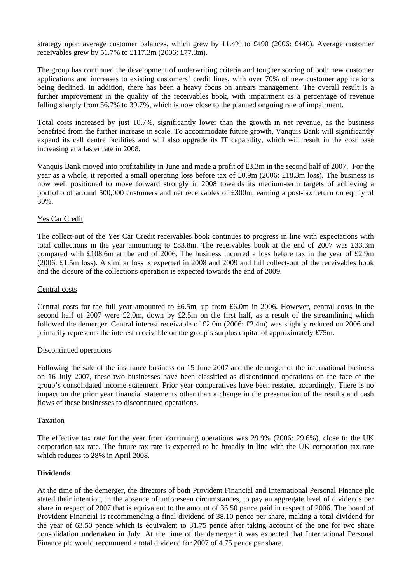strategy upon average customer balances, which grew by 11.4% to £490 (2006: £440). Average customer receivables grew by 51.7% to £117.3m (2006: £77.3m).

The group has continued the development of underwriting criteria and tougher scoring of both new customer applications and increases to existing customers' credit lines, with over 70% of new customer applications being declined. In addition, there has been a heavy focus on arrears management. The overall result is a further improvement in the quality of the receivables book, with impairment as a percentage of revenue falling sharply from 56.7% to 39.7%, which is now close to the planned ongoing rate of impairment.

Total costs increased by just 10.7%, significantly lower than the growth in net revenue, as the business benefited from the further increase in scale. To accommodate future growth, Vanquis Bank will significantly expand its call centre facilities and will also upgrade its IT capability, which will result in the cost base increasing at a faster rate in 2008.

Vanquis Bank moved into profitability in June and made a profit of £3.3m in the second half of 2007. For the year as a whole, it reported a small operating loss before tax of £0.9m (2006: £18.3m loss). The business is now well positioned to move forward strongly in 2008 towards its medium-term targets of achieving a portfolio of around 500,000 customers and net receivables of £300m, earning a post-tax return on equity of 30%.

## Yes Car Credit

The collect-out of the Yes Car Credit receivables book continues to progress in line with expectations with total collections in the year amounting to £83.8m. The receivables book at the end of 2007 was £33.3m compared with £108.6m at the end of 2006. The business incurred a loss before tax in the year of £2.9m (2006: £1.5m loss). A similar loss is expected in 2008 and 2009 and full collect-out of the receivables book and the closure of the collections operation is expected towards the end of 2009.

### Central costs

Central costs for the full year amounted to £6.5m, up from £6.0m in 2006. However, central costs in the second half of 2007 were £2.0m, down by £2.5m on the first half, as a result of the streamlining which followed the demerger. Central interest receivable of £2.0m (2006: £2.4m) was slightly reduced on 2006 and primarily represents the interest receivable on the group's surplus capital of approximately £75m.

## Discontinued operations

Following the sale of the insurance business on 15 June 2007 and the demerger of the international business on 16 July 2007, these two businesses have been classified as discontinued operations on the face of the group's consolidated income statement. Prior year comparatives have been restated accordingly. There is no impact on the prior year financial statements other than a change in the presentation of the results and cash flows of these businesses to discontinued operations.

#### Taxation

The effective tax rate for the year from continuing operations was 29.9% (2006: 29.6%), close to the UK corporation tax rate. The future tax rate is expected to be broadly in line with the UK corporation tax rate which reduces to 28% in April 2008.

## **Dividends**

At the time of the demerger, the directors of both Provident Financial and International Personal Finance plc stated their intention, in the absence of unforeseen circumstances, to pay an aggregate level of dividends per share in respect of 2007 that is equivalent to the amount of 36.50 pence paid in respect of 2006. The board of Provident Financial is recommending a final dividend of 38.10 pence per share, making a total dividend for the year of 63.50 pence which is equivalent to 31.75 pence after taking account of the one for two share consolidation undertaken in July. At the time of the demerger it was expected that International Personal Finance plc would recommend a total dividend for 2007 of 4.75 pence per share.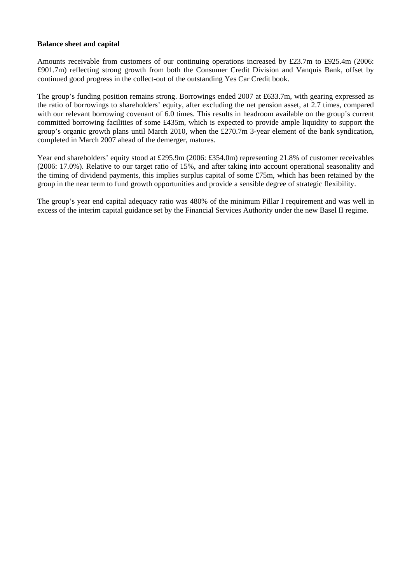### **Balance sheet and capital**

Amounts receivable from customers of our continuing operations increased by £23.7m to £925.4m (2006: £901.7m) reflecting strong growth from both the Consumer Credit Division and Vanquis Bank, offset by continued good progress in the collect-out of the outstanding Yes Car Credit book.

The group's funding position remains strong. Borrowings ended 2007 at £633.7m, with gearing expressed as the ratio of borrowings to shareholders' equity, after excluding the net pension asset, at 2.7 times, compared with our relevant borrowing covenant of 6.0 times. This results in headroom available on the group's current committed borrowing facilities of some £435m, which is expected to provide ample liquidity to support the group's organic growth plans until March 2010, when the £270.7m 3-year element of the bank syndication, completed in March 2007 ahead of the demerger, matures.

Year end shareholders' equity stood at £295.9m (2006: £354.0m) representing 21.8% of customer receivables (2006: 17.0%). Relative to our target ratio of 15%, and after taking into account operational seasonality and the timing of dividend payments, this implies surplus capital of some £75m, which has been retained by the group in the near term to fund growth opportunities and provide a sensible degree of strategic flexibility.

The group's year end capital adequacy ratio was 480% of the minimum Pillar I requirement and was well in excess of the interim capital guidance set by the Financial Services Authority under the new Basel II regime.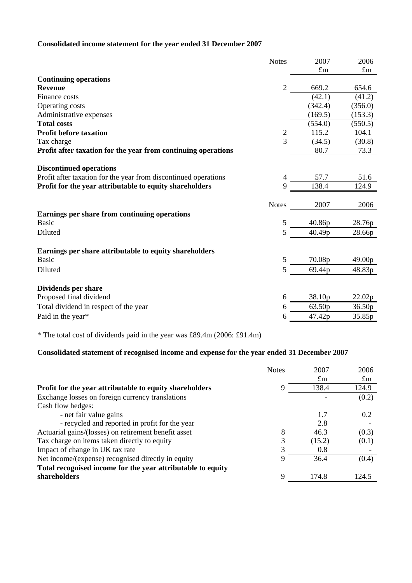# **Consolidated income statement for the year ended 31 December 2007**

|                                                                 | <b>Notes</b>   | 2007        | 2006        |
|-----------------------------------------------------------------|----------------|-------------|-------------|
|                                                                 |                | $\pounds$ m | $\pounds$ m |
| <b>Continuing operations</b>                                    |                |             |             |
| <b>Revenue</b>                                                  | $\overline{2}$ | 669.2       | 654.6       |
| Finance costs                                                   |                | (42.1)      | (41.2)      |
| Operating costs                                                 |                | (342.4)     | (356.0)     |
| Administrative expenses                                         |                | (169.5)     | (153.3)     |
| <b>Total costs</b>                                              |                | (554.0)     | (550.5)     |
| <b>Profit before taxation</b>                                   | 2              | 115.2       | 104.1       |
| Tax charge                                                      | $\overline{3}$ | (34.5)      | (30.8)      |
| Profit after taxation for the year from continuing operations   |                | 80.7        | 73.3        |
| <b>Discontinued operations</b>                                  |                |             |             |
| Profit after taxation for the year from discontinued operations | 4              | 57.7        | 51.6        |
| Profit for the year attributable to equity shareholders         | 9              | 138.4       | 124.9       |
|                                                                 |                |             |             |
|                                                                 | <b>Notes</b>   | 2007        | 2006        |
| Earnings per share from continuing operations                   |                |             |             |
| <b>Basic</b>                                                    | 5              | 40.86p      | 28.76p      |
| Diluted                                                         | 5              | 40.49p      | 28.66p      |
| Earnings per share attributable to equity shareholders          |                |             |             |
| <b>Basic</b>                                                    | 5              | 70.08p      | 49.00p      |
| Diluted                                                         | 5              | 69.44p      | 48.83p      |
| Dividends per share                                             |                |             |             |
| Proposed final dividend                                         | 6              | 38.10p      | 22.02p      |
| Total dividend in respect of the year                           | 6              | 63.50p      | 36.50p      |
| Paid in the year*                                               | 6              | 47.42p      | 35.85p      |
|                                                                 |                |             |             |

\* The total cost of dividends paid in the year was £89.4m (2006: £91.4m)

# **Consolidated statement of recognised income and expense for the year ended 31 December 2007**

|                                                             | <b>Notes</b> | 2007        | 2006        |
|-------------------------------------------------------------|--------------|-------------|-------------|
|                                                             |              | $\pounds$ m | $\pounds$ m |
| Profit for the year attributable to equity shareholders     | 9            | 138.4       | 124.9       |
| Exchange losses on foreign currency translations            |              |             | (0.2)       |
| Cash flow hedges:                                           |              |             |             |
| - net fair value gains                                      |              | 1.7         | 0.2         |
| - recycled and reported in profit for the year              |              | 2.8         |             |
| Actuarial gains/(losses) on retirement benefit asset        | 8            | 46.3        | (0.3)       |
| Tax charge on items taken directly to equity                | 3            | (15.2)      | (0.1)       |
| Impact of change in UK tax rate                             | 3            | 0.8         |             |
| Net income/(expense) recognised directly in equity          | 9            | 36.4        | (0.4)       |
| Total recognised income for the year attributable to equity |              |             |             |
| shareholders                                                | 9            | 174.8       | 124.5       |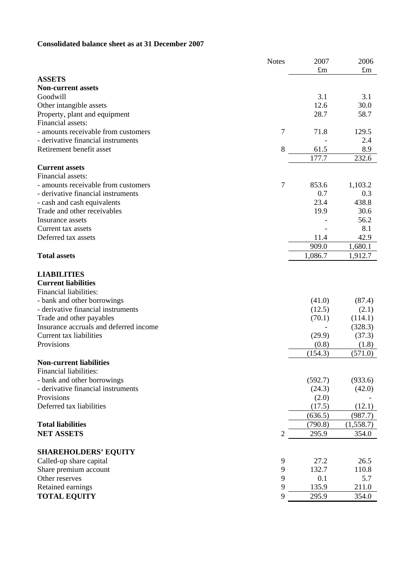# **Consolidated balance sheet as at 31 December 2007**

|                                        | <b>Notes</b>   | 2007        | 2006        |
|----------------------------------------|----------------|-------------|-------------|
|                                        |                | $\pounds$ m | $\pounds$ m |
| <b>ASSETS</b>                          |                |             |             |
| <b>Non-current assets</b>              |                |             |             |
| Goodwill                               |                | 3.1         | 3.1         |
| Other intangible assets                |                | 12.6        | 30.0        |
| Property, plant and equipment          |                | 28.7        | 58.7        |
| Financial assets:                      |                |             |             |
| - amounts receivable from customers    | $\overline{7}$ | 71.8        | 129.5       |
| - derivative financial instruments     |                |             | 2.4         |
| Retirement benefit asset               | 8              | 61.5        | 8.9         |
|                                        |                | 177.7       | 232.6       |
| <b>Current assets</b>                  |                |             |             |
| Financial assets:                      |                |             |             |
| - amounts receivable from customers    | 7              | 853.6       | 1,103.2     |
| - derivative financial instruments     |                | 0.7         | 0.3         |
| - cash and cash equivalents            |                | 23.4        | 438.8       |
| Trade and other receivables            |                | 19.9        | 30.6        |
| Insurance assets                       |                |             | 56.2        |
| Current tax assets                     |                |             | 8.1         |
| Deferred tax assets                    |                | 11.4        | 42.9        |
|                                        |                | 909.0       | 1,680.1     |
| <b>Total assets</b>                    |                | 1,086.7     | 1,912.7     |
|                                        |                |             |             |
| <b>LIABILITIES</b>                     |                |             |             |
| <b>Current liabilities</b>             |                |             |             |
| Financial liabilities:                 |                |             |             |
| - bank and other borrowings            |                | (41.0)      | (87.4)      |
| - derivative financial instruments     |                | (12.5)      | (2.1)       |
| Trade and other payables               |                | (70.1)      | (114.1)     |
| Insurance accruals and deferred income |                |             | (328.3)     |
| Current tax liabilities                |                | (29.9)      | (37.3)      |
| Provisions                             |                | (0.8)       | (1.8)       |
|                                        |                | (154.3)     | (571.0)     |
| <b>Non-current liabilities</b>         |                |             |             |
| Financial liabilities:                 |                |             |             |
| - bank and other borrowings            |                | (592.7)     | (933.6)     |
| - derivative financial instruments     |                | (24.3)      | (42.0)      |
| Provisions                             |                | (2.0)       |             |
| Deferred tax liabilities               |                | (17.5)      | (12.1)      |
|                                        |                | (636.5)     | (987.7)     |
| <b>Total liabilities</b>               |                | (790.8)     | (1,558.7)   |
| <b>NET ASSETS</b>                      | $\overline{2}$ | 295.9       | 354.0       |
|                                        |                |             |             |
| <b>SHAREHOLDERS' EQUITY</b>            |                |             |             |
| Called-up share capital                | 9              | 27.2        | 26.5        |
| Share premium account                  | $\mathbf{9}$   | 132.7       | 110.8       |
| Other reserves                         | 9              | 0.1         | 5.7         |
| Retained earnings                      | 9              | 135.9       | 211.0       |
| <b>TOTAL EQUITY</b>                    | 9              | 295.9       | 354.0       |
|                                        |                |             |             |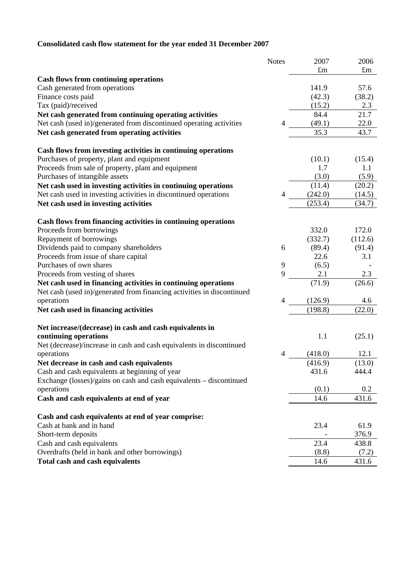# **Consolidated cash flow statement for the year ended 31 December 2007**

|                                                                                                                                          | <b>Notes</b> | 2007        | 2006        |
|------------------------------------------------------------------------------------------------------------------------------------------|--------------|-------------|-------------|
|                                                                                                                                          |              | $\pounds$ m | $\pounds$ m |
| <b>Cash flows from continuing operations</b>                                                                                             |              |             |             |
| Cash generated from operations                                                                                                           |              | 141.9       | 57.6        |
| Finance costs paid                                                                                                                       |              | (42.3)      | (38.2)      |
| Tax (paid)/received                                                                                                                      |              | (15.2)      | 2.3         |
| Net cash generated from continuing operating activities                                                                                  |              | 84.4        | 21.7        |
| Net cash (used in)/generated from discontinued operating activities                                                                      | 4            | (49.1)      | 22.0        |
| Net cash generated from operating activities                                                                                             |              | 35.3        | 43.7        |
| Cash flows from investing activities in continuing operations                                                                            |              |             |             |
| Purchases of property, plant and equipment                                                                                               |              | (10.1)      | (15.4)      |
| Proceeds from sale of property, plant and equipment                                                                                      |              | 1.7         | 1.1         |
| Purchases of intangible assets                                                                                                           |              | (3.0)       | (5.9)       |
| Net cash used in investing activities in continuing operations                                                                           |              | (11.4)      | (20.2)      |
| Net cash used in investing activities in discontinued operations                                                                         | 4            | (242.0)     | (14.5)      |
| Net cash used in investing activities                                                                                                    |              | (253.4)     | (34.7)      |
|                                                                                                                                          |              |             |             |
| Cash flows from financing activities in continuing operations                                                                            |              |             |             |
| Proceeds from borrowings                                                                                                                 |              | 332.0       | 172.0       |
| Repayment of borrowings                                                                                                                  |              | (332.7)     | (112.6)     |
| Dividends paid to company shareholders                                                                                                   | 6            | (89.4)      | (91.4)      |
| Proceeds from issue of share capital                                                                                                     |              | 22.6        | 3.1         |
| Purchases of own shares                                                                                                                  | 9            | (6.5)       |             |
| Proceeds from vesting of shares                                                                                                          | 9            | 2.1         | 2.3         |
| Net cash used in financing activities in continuing operations<br>Net cash (used in)/generated from financing activities in discontinued |              | (71.9)      | (26.6)      |
| operations                                                                                                                               | 4            | (126.9)     | 4.6         |
| Net cash used in financing activities                                                                                                    |              | (198.8)     | (22.0)      |
|                                                                                                                                          |              |             |             |
| Net increase/(decrease) in cash and cash equivalents in                                                                                  |              |             |             |
| continuing operations                                                                                                                    |              | 1.1         | (25.1)      |
| Net (decrease)/increase in cash and cash equivalents in discontinued                                                                     |              |             |             |
| operations                                                                                                                               | 4            | (418.0)     | 12.1        |
| Net decrease in cash and cash equivalents                                                                                                |              | (416.9)     | (13.0)      |
| Cash and cash equivalents at beginning of year                                                                                           |              | 431.6       | 444.4       |
| Exchange (losses)/gains on cash and cash equivalents - discontinued                                                                      |              |             |             |
| operations                                                                                                                               |              | (0.1)       | 0.2         |
| Cash and cash equivalents at end of year                                                                                                 |              | 14.6        | 431.6       |
|                                                                                                                                          |              |             |             |
| Cash and cash equivalents at end of year comprise:                                                                                       |              |             |             |
| Cash at bank and in hand                                                                                                                 |              | 23.4        | 61.9        |
| Short-term deposits                                                                                                                      |              |             | 376.9       |
| Cash and cash equivalents                                                                                                                |              | 23.4        | 438.8       |
| Overdrafts (held in bank and other borrowings)                                                                                           |              | (8.8)       | (7.2)       |
| <b>Total cash and cash equivalents</b>                                                                                                   |              | 14.6        | 431.6       |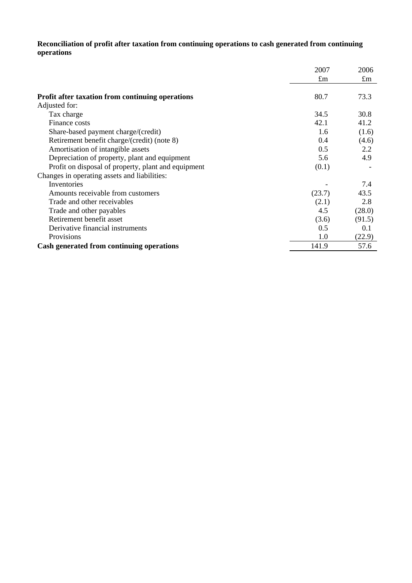# **Reconciliation of profit after taxation from continuing operations to cash generated from continuing operations**

|                                                         | 2007        | 2006        |
|---------------------------------------------------------|-------------|-------------|
|                                                         | $\pounds$ m | $\pounds$ m |
| <b>Profit after taxation from continuing operations</b> | 80.7        | 73.3        |
| Adjusted for:                                           |             |             |
| Tax charge                                              | 34.5        | 30.8        |
| Finance costs                                           | 42.1        | 41.2        |
| Share-based payment charge/(credit)                     | 1.6         | (1.6)       |
| Retirement benefit charge/(credit) (note 8)             | 0.4         | (4.6)       |
| Amortisation of intangible assets                       | 0.5         | 2.2         |
| Depreciation of property, plant and equipment           | 5.6         | 4.9         |
| Profit on disposal of property, plant and equipment     | (0.1)       |             |
| Changes in operating assets and liabilities:            |             |             |
| Inventories                                             |             | 7.4         |
| Amounts receivable from customers                       | (23.7)      | 43.5        |
| Trade and other receivables                             | (2.1)       | 2.8         |
| Trade and other payables                                | 4.5         | (28.0)      |
| Retirement benefit asset                                | (3.6)       | (91.5)      |
| Derivative financial instruments                        | 0.5         | 0.1         |
| Provisions                                              | 1.0         | (22.9)      |
| Cash generated from continuing operations               | 141.9       | 57.6        |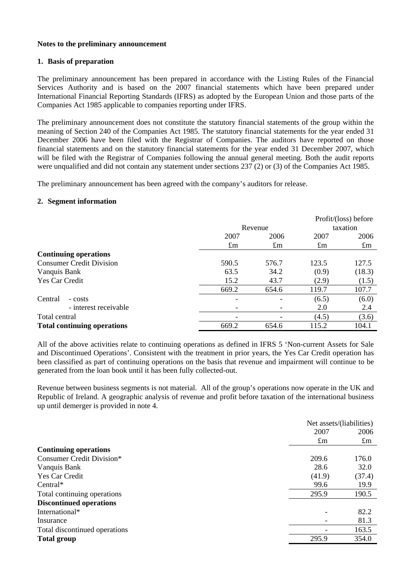### **Notes to the preliminary announcement**

### **1. Basis of preparation**

The preliminary announcement has been prepared in accordance with the Listing Rules of the Financial Services Authority and is based on the 2007 financial statements which have been prepared under International Financial Reporting Standards (IFRS) as adopted by the European Union and those parts of the Companies Act 1985 applicable to companies reporting under IFRS.

The preliminary announcement does not constitute the statutory financial statements of the group within the meaning of Section 240 of the Companies Act 1985. The statutory financial statements for the year ended 31 December 2006 have been filed with the Registrar of Companies. The auditors have reported on those financial statements and on the statutory financial statements for the year ended 31 December 2007, which will be filed with the Registrar of Companies following the annual general meeting. Both the audit reports were unqualified and did not contain any statement under sections 237 (2) or (3) of the Companies Act 1985.

The preliminary announcement has been agreed with the company's auditors for release.

### **2. Segment information**

|                                    |             |             |             | Profit/(loss) before |
|------------------------------------|-------------|-------------|-------------|----------------------|
|                                    |             | Revenue     |             | taxation             |
|                                    | 2007        | 2006        | 2007        | 2006                 |
|                                    | $\pounds$ m | $\pounds$ m | $\pounds$ m | $\pounds$ m          |
| <b>Continuing operations</b>       |             |             |             |                      |
| <b>Consumer Credit Division</b>    | 590.5       | 576.7       | 123.5       | 127.5                |
| Vanquis Bank                       | 63.5        | 34.2        | (0.9)       | (18.3)               |
| Yes Car Credit                     | 15.2        | 43.7        | (2.9)       | (1.5)                |
|                                    | 669.2       | 654.6       | 119.7       | 107.7                |
| Central<br>- costs                 |             |             | (6.5)       | (6.0)                |
| - interest receivable              |             |             | 2.0         | 2.4                  |
| Total central                      |             |             | (4.5)       | (3.6)                |
| <b>Total continuing operations</b> | 669.2       | 654.6       | 115.2       | 104.1                |

All of the above activities relate to continuing operations as defined in IFRS 5 'Non-current Assets for Sale and Discontinued Operations'. Consistent with the treatment in prior years, the Yes Car Credit operation has been classified as part of continuing operations on the basis that revenue and impairment will continue to be generated from the loan book until it has been fully collected-out.

Revenue between business segments is not material. All of the group's operations now operate in the UK and Republic of Ireland. A geographic analysis of revenue and profit before taxation of the international business up until demerger is provided in note 4.

|                                |             | Net assets/(liabilities) |  |
|--------------------------------|-------------|--------------------------|--|
|                                | 2007        | 2006                     |  |
|                                | $\pounds$ m | $\pounds$ m              |  |
| <b>Continuing operations</b>   |             |                          |  |
| Consumer Credit Division*      | 209.6       | 176.0                    |  |
| Vanquis Bank                   | 28.6        | 32.0                     |  |
| <b>Yes Car Credit</b>          | (41.9)      | (37.4)                   |  |
| Central $*$                    | 99.6        | 19.9                     |  |
| Total continuing operations    | 295.9       | 190.5                    |  |
| <b>Discontinued operations</b> |             |                          |  |
| International*                 |             | 82.2                     |  |
| Insurance                      |             | 81.3                     |  |
| Total discontinued operations  |             | 163.5                    |  |
| <b>Total group</b>             | 295.9       | 354.0                    |  |
|                                |             |                          |  |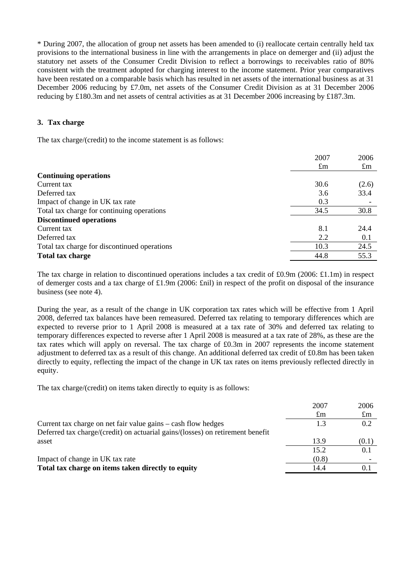\* During 2007, the allocation of group net assets has been amended to (i) reallocate certain centrally held tax provisions to the international business in line with the arrangements in place on demerger and (ii) adjust the statutory net assets of the Consumer Credit Division to reflect a borrowings to receivables ratio of 80% consistent with the treatment adopted for charging interest to the income statement. Prior year comparatives have been restated on a comparable basis which has resulted in net assets of the international business as at 31 December 2006 reducing by £7.0m, net assets of the Consumer Credit Division as at 31 December 2006 reducing by £180.3m and net assets of central activities as at 31 December 2006 increasing by £187.3m.

# **3. Tax charge**

The tax charge/(credit) to the income statement is as follows:

|                                              | 2007        | 2006        |
|----------------------------------------------|-------------|-------------|
|                                              | $\pounds$ m | $\pounds$ m |
| <b>Continuing operations</b>                 |             |             |
| Current tax                                  | 30.6        | (2.6)       |
| Deferred tax                                 | 3.6         | 33.4        |
| Impact of change in UK tax rate              | 0.3         |             |
| Total tax charge for continuing operations   | 34.5        | 30.8        |
| <b>Discontinued operations</b>               |             |             |
| Current tax                                  | 8.1         | 24.4        |
| Deferred tax                                 | 2.2         | 0.1         |
| Total tax charge for discontinued operations | 10.3        | 24.5        |
| Total tax charge                             | 44.8        | 55.3        |

The tax charge in relation to discontinued operations includes a tax credit of £0.9m (2006: £1.1m) in respect of demerger costs and a tax charge of £1.9m (2006: £nil) in respect of the profit on disposal of the insurance business (see note 4).

During the year, as a result of the change in UK corporation tax rates which will be effective from 1 April 2008, deferred tax balances have been remeasured. Deferred tax relating to temporary differences which are expected to reverse prior to 1 April 2008 is measured at a tax rate of 30% and deferred tax relating to temporary differences expected to reverse after 1 April 2008 is measured at a tax rate of 28%, as these are the tax rates which will apply on reversal. The tax charge of £0.3m in 2007 represents the income statement adjustment to deferred tax as a result of this change. An additional deferred tax credit of £0.8m has been taken directly to equity, reflecting the impact of the change in UK tax rates on items previously reflected directly in equity.

The tax charge/(credit) on items taken directly to equity is as follows:

|                                                                                | 2007        | 2006        |
|--------------------------------------------------------------------------------|-------------|-------------|
|                                                                                | $\pounds$ m | $\pounds$ m |
| Current tax charge on net fair value gains – cash flow hedges                  | 1.3         | 0.2         |
| Deferred tax charge/(credit) on actuarial gains/(losses) on retirement benefit |             |             |
| asset                                                                          | 13.9        | (0.1)       |
|                                                                                | 15.2        | 0.1         |
| Impact of change in UK tax rate                                                | (0.8)       |             |
| Total tax charge on items taken directly to equity                             | 14.4        | 0.1         |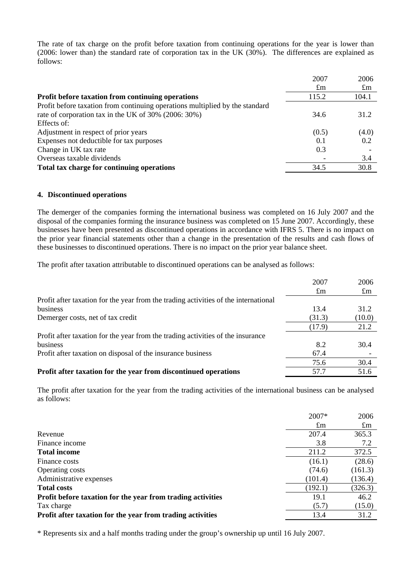The rate of tax charge on the profit before taxation from continuing operations for the year is lower than (2006: lower than) the standard rate of corporation tax in the UK (30%). The differences are explained as follows:

|                                                                              | 2007        | 2006        |
|------------------------------------------------------------------------------|-------------|-------------|
|                                                                              | $\pounds$ m | $\pounds$ m |
| Profit before taxation from continuing operations                            | 115.2       | 104.1       |
| Profit before taxation from continuing operations multiplied by the standard |             |             |
| rate of corporation tax in the UK of 30% (2006: 30%)                         | 34.6        | 31.2        |
| Effects of:                                                                  |             |             |
| Adjustment in respect of prior years                                         | (0.5)       | (4.0)       |
| Expenses not deductible for tax purposes                                     | 0.1         | 0.2         |
| Change in UK tax rate                                                        | 0.3         |             |
| Overseas taxable dividends                                                   |             | 3.4         |
| Total tax charge for continuing operations                                   | 34.5        | 30.8        |

### **4. Discontinued operations**

The demerger of the companies forming the international business was completed on 16 July 2007 and the disposal of the companies forming the insurance business was completed on 15 June 2007. Accordingly, these businesses have been presented as discontinued operations in accordance with IFRS 5. There is no impact on the prior year financial statements other than a change in the presentation of the results and cash flows of these businesses to discontinued operations. There is no impact on the prior year balance sheet.

The profit after taxation attributable to discontinued operations can be analysed as follows:

|                                                                                     | 2007        | 2006        |
|-------------------------------------------------------------------------------------|-------------|-------------|
|                                                                                     | $\pounds$ m | $\pounds$ m |
| Profit after taxation for the year from the trading activities of the international |             |             |
| business                                                                            | 13.4        | 31.2        |
| Demerger costs, net of tax credit                                                   | (31.3)      | (10.0)      |
|                                                                                     | (17.9)      | 21.2        |
| Profit after taxation for the year from the trading activities of the insurance     |             |             |
| business                                                                            | 8.2         | 30.4        |
| Profit after taxation on disposal of the insurance business                         | 67.4        |             |
|                                                                                     | 75.6        | 30.4        |
| Profit after taxation for the year from discontinued operations                     | 57.7        | 51.6        |

The profit after taxation for the year from the trading activities of the international business can be analysed as follows:

| $\pounds$ m<br>$\pounds$ m<br>365.3<br>207.4<br>Revenue<br>Finance income<br>3.8<br>7.2<br>372.5<br>211.2<br><b>Total income</b><br>(28.6)<br>(16.1)<br>Finance costs<br>Operating costs<br>(74.6)<br>(161.3)<br>Administrative expenses<br>(101.4)<br>(136.4)<br><b>Total costs</b><br>(326.3)<br>(192.1)<br>46.2<br>19.1<br>Profit before taxation for the year from trading activities<br>(15.0)<br>Tax charge<br>(5.7)<br>13.4<br>31.2<br>Profit after taxation for the year from trading activities | $2007*$ | 2006 |
|----------------------------------------------------------------------------------------------------------------------------------------------------------------------------------------------------------------------------------------------------------------------------------------------------------------------------------------------------------------------------------------------------------------------------------------------------------------------------------------------------------|---------|------|
|                                                                                                                                                                                                                                                                                                                                                                                                                                                                                                          |         |      |
|                                                                                                                                                                                                                                                                                                                                                                                                                                                                                                          |         |      |
|                                                                                                                                                                                                                                                                                                                                                                                                                                                                                                          |         |      |
|                                                                                                                                                                                                                                                                                                                                                                                                                                                                                                          |         |      |
|                                                                                                                                                                                                                                                                                                                                                                                                                                                                                                          |         |      |
|                                                                                                                                                                                                                                                                                                                                                                                                                                                                                                          |         |      |
|                                                                                                                                                                                                                                                                                                                                                                                                                                                                                                          |         |      |
|                                                                                                                                                                                                                                                                                                                                                                                                                                                                                                          |         |      |
|                                                                                                                                                                                                                                                                                                                                                                                                                                                                                                          |         |      |
|                                                                                                                                                                                                                                                                                                                                                                                                                                                                                                          |         |      |
|                                                                                                                                                                                                                                                                                                                                                                                                                                                                                                          |         |      |

\* Represents six and a half months trading under the group's ownership up until 16 July 2007.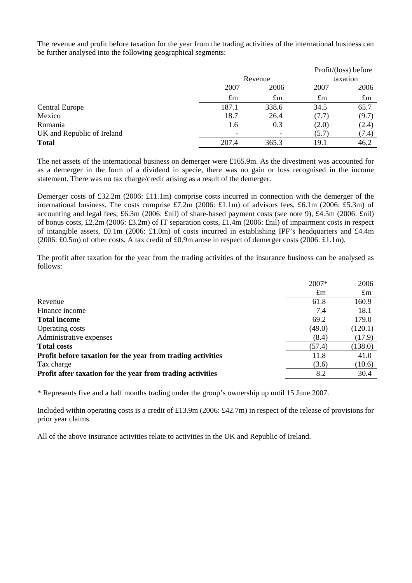The revenue and profit before taxation for the year from the trading activities of the international business can be further analysed into the following geographical segments:

|                            |             |             |             | Profit/(loss) before |  |          |  |
|----------------------------|-------------|-------------|-------------|----------------------|--|----------|--|
|                            |             | Revenue     |             |                      |  | taxation |  |
|                            | 2007        | 2006        | 2007        | 2006                 |  |          |  |
|                            | $\pounds$ m | $\pounds$ m | $\pounds$ m | $\pounds$ m          |  |          |  |
| <b>Central Europe</b>      | 187.1       | 338.6       | 34.5        | 65.7                 |  |          |  |
| Mexico                     | 18.7        | 26.4        | (7.7)       | (9.7)                |  |          |  |
| Romania                    | 1.6         | 0.3         | (2.0)       | (2.4)                |  |          |  |
| UK and Republic of Ireland |             |             | (5.7)       | (7.4)                |  |          |  |
| <b>Total</b>               | 207.4       | 365.3       | 19.1        | 46.2                 |  |          |  |

The net assets of the international business on demerger were £165.9m. As the divestment was accounted for as a demerger in the form of a dividend in specie, there was no gain or loss recognised in the income statement. There was no tax charge/credit arising as a result of the demerger.

Demerger costs of £32.2m (2006: £11.1m) comprise costs incurred in connection with the demerger of the international business. The costs comprise £7.2m (2006: £1.1m) of advisors fees, £6.1m (2006: £5.3m) of accounting and legal fees, £6.3m (2006: £nil) of share-based payment costs (see note 9), £4.5m (2006: £nil) of bonus costs, £2.2m (2006: £3.2m) of IT separation costs, £1.4m (2006: £nil) of impairment costs in respect of intangible assets, £0.1m (2006: £1.0m) of costs incurred in establishing IPF's headquarters and £4.4m (2006: £0.5m) of other costs. A tax credit of £0.9m arose in respect of demerger costs (2006: £1.1m).

The profit after taxation for the year from the trading activities of the insurance business can be analysed as follows:

|                                                             | 2007*       | 2006        |
|-------------------------------------------------------------|-------------|-------------|
|                                                             | $\pounds$ m | $\pounds$ m |
| Revenue                                                     | 61.8        | 160.9       |
| Finance income                                              | 7.4         | 18.1        |
| <b>Total income</b>                                         | 69.2        | 179.0       |
| Operating costs                                             | (49.0)      | (120.1)     |
| Administrative expenses                                     | (8.4)       | (17.9)      |
| <b>Total costs</b>                                          | (57.4)      | (138.0)     |
| Profit before taxation for the year from trading activities | 11.8        | 41.0        |
| Tax charge                                                  | (3.6)       | (10.6)      |
| Profit after taxation for the year from trading activities  | 8.2         | 30.4        |

\* Represents five and a half months trading under the group's ownership up until 15 June 2007.

Included within operating costs is a credit of £13.9m (2006: £42.7m) in respect of the release of provisions for prior year claims.

All of the above insurance activities relate to activities in the UK and Republic of Ireland.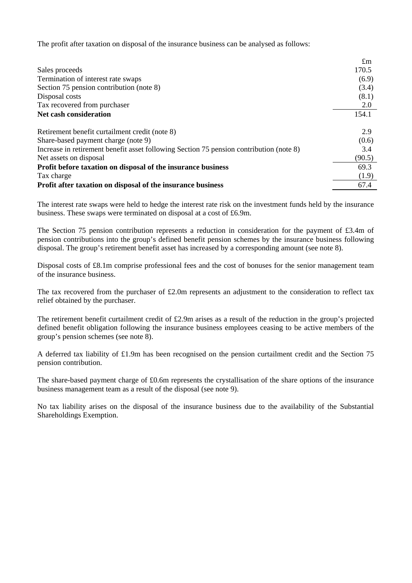The profit after taxation on disposal of the insurance business can be analysed as follows:

|                                                                                         | $\pounds$ m |
|-----------------------------------------------------------------------------------------|-------------|
| Sales proceeds                                                                          | 170.5       |
| Termination of interest rate swaps                                                      | (6.9)       |
| Section 75 pension contribution (note 8)                                                | (3.4)       |
| Disposal costs                                                                          | (8.1)       |
| Tax recovered from purchaser                                                            | 2.0         |
| Net cash consideration                                                                  | 154.1       |
| Retirement benefit curtailment credit (note 8)                                          | 2.9         |
| Share-based payment charge (note 9)                                                     | (0.6)       |
| Increase in retirement benefit asset following Section 75 pension contribution (note 8) | 3.4         |
| Net assets on disposal                                                                  | (90.5)      |
| Profit before taxation on disposal of the insurance business                            | 69.3        |
| Tax charge                                                                              | (1.9)       |
| Profit after taxation on disposal of the insurance business                             | 67.4        |

The interest rate swaps were held to hedge the interest rate risk on the investment funds held by the insurance business. These swaps were terminated on disposal at a cost of £6.9m.

The Section 75 pension contribution represents a reduction in consideration for the payment of £3.4m of pension contributions into the group's defined benefit pension schemes by the insurance business following disposal. The group's retirement benefit asset has increased by a corresponding amount (see note 8).

Disposal costs of £8.1m comprise professional fees and the cost of bonuses for the senior management team of the insurance business.

The tax recovered from the purchaser of £2.0m represents an adjustment to the consideration to reflect tax relief obtained by the purchaser.

The retirement benefit curtailment credit of £2.9m arises as a result of the reduction in the group's projected defined benefit obligation following the insurance business employees ceasing to be active members of the group's pension schemes (see note 8).

A deferred tax liability of £1.9m has been recognised on the pension curtailment credit and the Section 75 pension contribution.

The share-based payment charge of £0.6m represents the crystallisation of the share options of the insurance business management team as a result of the disposal (see note 9).

No tax liability arises on the disposal of the insurance business due to the availability of the Substantial Shareholdings Exemption.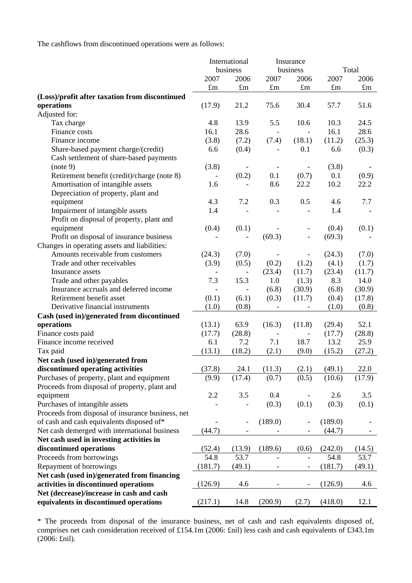The cashflows from discontinued operations were as follows:

|                                                   | International            |                          | Insurance                |                              |                  |             |
|---------------------------------------------------|--------------------------|--------------------------|--------------------------|------------------------------|------------------|-------------|
|                                                   | business                 |                          |                          | business                     |                  | Total       |
|                                                   | 2007                     | 2006                     | 2007                     | 2006                         | 2007             | 2006        |
|                                                   | $\pounds$ m              | $\pounds m$              | $\pounds$ m              | $\pounds$ m                  | $\pounds$ m      | $\pounds$ m |
| (Loss)/profit after taxation from discontinued    |                          |                          |                          |                              |                  |             |
| operations                                        | (17.9)                   | 21.2                     | 75.6                     | 30.4                         | 57.7             | 51.6        |
| Adjusted for:                                     |                          |                          |                          |                              |                  |             |
| Tax charge                                        | 4.8                      | 13.9                     | 5.5                      | 10.6                         | 10.3             | 24.5        |
| Finance costs                                     | 16.1                     | 28.6                     |                          |                              | 16.1             | 28.6        |
| Finance income                                    | (3.8)                    | (7.2)                    | (7.4)                    | (18.1)                       | (11.2)           | (25.3)      |
| Share-based payment charge/(credit)               | 6.6                      | (0.4)                    |                          | 0.1                          | 6.6              | (0.3)       |
| Cash settlement of share-based payments           |                          |                          |                          |                              |                  |             |
| (note 9)                                          | (3.8)                    | $\overline{\phantom{a}}$ |                          | $\overline{\phantom{0}}$     | (3.8)            |             |
| Retirement benefit (credit)/charge (note 8)       | $\overline{\phantom{a}}$ | (0.2)                    | 0.1                      | (0.7)                        | 0.1              | (0.9)       |
| Amortisation of intangible assets                 | 1.6                      |                          | 8.6                      | 22.2                         | 10.2             | 22.2        |
| Depreciation of property, plant and               |                          |                          |                          |                              |                  |             |
| equipment                                         | 4.3                      | 7.2                      | 0.3                      | 0.5                          | 4.6              | 7.7         |
| Impairment of intangible assets                   | 1.4                      |                          |                          |                              | 1.4              |             |
| Profit on disposal of property, plant and         |                          |                          |                          |                              |                  |             |
| equipment                                         | (0.4)                    | (0.1)                    |                          |                              | (0.4)            | (0.1)       |
| Profit on disposal of insurance business          |                          |                          | (69.3)                   | $\qquad \qquad \blacksquare$ | (69.3)           |             |
| Changes in operating assets and liabilities:      |                          |                          |                          |                              |                  |             |
| Amounts receivable from customers                 | (24.3)                   | (7.0)                    |                          | $\overline{\phantom{a}}$     | (24.3)           | (7.0)       |
| Trade and other receivables                       | (3.9)                    | (0.5)                    | (0.2)                    | (1.2)                        | (4.1)            | (1.7)       |
| Insurance assets                                  |                          | $\overline{\phantom{a}}$ | (23.4)                   | (11.7)                       | (23.4)           | (11.7)      |
| Trade and other payables                          | 7.3                      | 15.3                     | 1.0                      | (1.3)                        | 8.3              | 14.0        |
| Insurance accruals and deferred income            |                          |                          | (6.8)                    | (30.9)                       | (6.8)            | (30.9)      |
| Retirement benefit asset                          | (0.1)                    | (6.1)                    | (0.3)                    | (11.7)                       | (0.4)            | (17.8)      |
| Derivative financial instruments                  | (1.0)                    | (0.8)                    |                          |                              | (1.0)            | (0.8)       |
| Cash (used in)/generated from discontinued        |                          |                          |                          |                              |                  |             |
| operations                                        | (13.1)                   | 63.9                     | (16.3)                   | (11.8)                       | (29.4)           | 52.1        |
| Finance costs paid                                | (17.7)                   | (28.8)                   | $\overline{\phantom{a}}$ | $\overline{\phantom{a}}$     | (17.7)           | (28.8)      |
| Finance income received                           | 6.1                      | 7.2                      | 7.1                      | 18.7                         | 13.2             | 25.9        |
| Tax paid                                          | (13.1)                   | (18.2)                   | (2.1)                    | (9.0)                        | (15.2)           | (27.2)      |
|                                                   |                          |                          |                          |                              |                  |             |
| Net cash (used in)/generated from                 | (37.8)                   |                          |                          |                              |                  |             |
| discontinued operating activities                 |                          |                          | $24.1$ $(11.3)$          |                              | $(2.1)$ $(49.1)$ | 22.0        |
| Purchases of property, plant and equipment        | (9.9)                    | (17.4)                   | (0.7)                    | (0.5)                        | (10.6)           | (17.9)      |
| Proceeds from disposal of property, plant and     |                          |                          |                          |                              |                  |             |
| equipment                                         | 2.2                      | 3.5                      | 0.4                      |                              | 2.6              | 3.5         |
| Purchases of intangible assets                    |                          |                          | (0.3)                    | (0.1)                        | (0.3)            | (0.1)       |
| Proceeds from disposal of insurance business, net |                          |                          |                          |                              |                  |             |
| of cash and cash equivalents disposed of*         |                          | $\qquad \qquad -$        | (189.0)                  |                              | (189.0)          |             |
| Net cash demerged with international business     | (44.7)                   | $\qquad \qquad -$        |                          |                              | (44.7)           |             |
| Net cash used in investing activities in          |                          |                          |                          |                              |                  |             |
| discontinued operations                           | (52.4)                   | (13.9)                   | (189.6)                  | (0.6)                        | (242.0)          | (14.5)      |
| Proceeds from borrowings                          | 54.8                     | 53.7                     |                          |                              | 54.8             | 53.7        |
| Repayment of borrowings                           | (181.7)                  | (49.1)                   |                          | $\overline{\phantom{a}}$     | (181.7)          | (49.1)      |
| Net cash (used in)/generated from financing       |                          |                          |                          |                              |                  |             |
| activities in discontinued operations             | (126.9)                  | 4.6                      |                          |                              | (126.9)          | 4.6         |
| Net (decrease)/increase in cash and cash          |                          |                          |                          |                              |                  |             |
| equivalents in discontinued operations            | (217.1)                  | 14.8                     | (200.9)                  | (2.7)                        | (418.0)          | 12.1        |

\* The proceeds from disposal of the insurance business, net of cash and cash equivalents disposed of, comprises net cash consideration received of £154.1m (2006: £nil) less cash and cash equivalents of £343.1m (2006: £nil).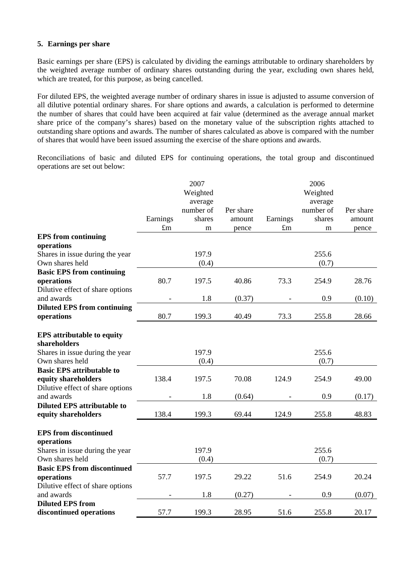# **5. Earnings per share**

Basic earnings per share (EPS) is calculated by dividing the earnings attributable to ordinary shareholders by the weighted average number of ordinary shares outstanding during the year, excluding own shares held, which are treated, for this purpose, as being cancelled.

For diluted EPS, the weighted average number of ordinary shares in issue is adjusted to assume conversion of all dilutive potential ordinary shares. For share options and awards, a calculation is performed to determine the number of shares that could have been acquired at fair value (determined as the average annual market share price of the company's shares) based on the monetary value of the subscription rights attached to outstanding share options and awards. The number of shares calculated as above is compared with the number of shares that would have been issued assuming the exercise of the share options and awards.

Reconciliations of basic and diluted EPS for continuing operations, the total group and discontinued operations are set out below:

|                                    |             | 2007      |           |             | 2006      |           |
|------------------------------------|-------------|-----------|-----------|-------------|-----------|-----------|
|                                    |             | Weighted  |           |             | Weighted  |           |
|                                    |             | average   |           |             | average   |           |
|                                    |             | number of | Per share |             | number of | Per share |
|                                    | Earnings    | shares    | amount    | Earnings    | shares    | amount    |
|                                    | $\pounds$ m | m         | pence     | $\pounds$ m | m         | pence     |
| <b>EPS</b> from continuing         |             |           |           |             |           |           |
| operations                         |             |           |           |             |           |           |
| Shares in issue during the year    |             | 197.9     |           |             | 255.6     |           |
| Own shares held                    |             | (0.4)     |           |             | (0.7)     |           |
| <b>Basic EPS from continuing</b>   |             |           |           |             |           |           |
| operations                         | 80.7        | 197.5     | 40.86     | 73.3        | 254.9     | 28.76     |
| Dilutive effect of share options   |             |           |           |             |           |           |
| and awards                         |             | 1.8       | (0.37)    |             | 0.9       | (0.10)    |
| <b>Diluted EPS from continuing</b> |             |           |           |             |           |           |
| operations                         | 80.7        | 199.3     | 40.49     | 73.3        | 255.8     | 28.66     |
|                                    |             |           |           |             |           |           |
| <b>EPS</b> attributable to equity  |             |           |           |             |           |           |
| shareholders                       |             |           |           |             |           |           |
| Shares in issue during the year    |             | 197.9     |           |             | 255.6     |           |
| Own shares held                    |             | (0.4)     |           |             | (0.7)     |           |
| <b>Basic EPS attributable to</b>   |             |           |           |             |           |           |
| equity shareholders                | 138.4       | 197.5     | 70.08     | 124.9       | 254.9     | 49.00     |
| Dilutive effect of share options   |             |           |           |             |           |           |
| and awards                         |             | 1.8       | (0.64)    |             | 0.9       | (0.17)    |
| <b>Diluted EPS attributable to</b> |             |           |           |             |           |           |
| equity shareholders                | 138.4       | 199.3     | 69.44     | 124.9       | 255.8     | 48.83     |
|                                    |             |           |           |             |           |           |
| <b>EPS</b> from discontinued       |             |           |           |             |           |           |
| operations                         |             |           |           |             |           |           |
| Shares in issue during the year    |             | 197.9     |           |             | 255.6     |           |
| Own shares held                    |             | (0.4)     |           |             | (0.7)     |           |
| <b>Basic EPS from discontinued</b> |             |           |           |             |           |           |
| operations                         | 57.7        | 197.5     | 29.22     | 51.6        | 254.9     | 20.24     |
| Dilutive effect of share options   |             |           |           |             |           |           |
| and awards                         |             | 1.8       | (0.27)    |             | 0.9       | (0.07)    |
| <b>Diluted EPS from</b>            |             |           |           |             |           |           |
| discontinued operations            | 57.7        | 199.3     | 28.95     | 51.6        | 255.8     | 20.17     |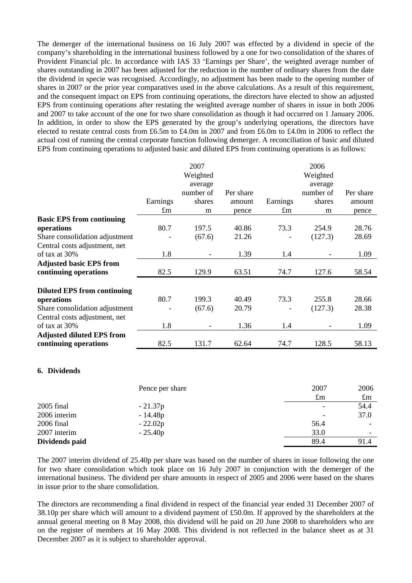The demerger of the international business on 16 July 2007 was effected by a dividend in specie of the company's shareholding in the international business followed by a one for two consolidation of the shares of Provident Financial plc. In accordance with IAS 33 'Earnings per Share', the weighted average number of shares outstanding in 2007 has been adjusted for the reduction in the number of ordinary shares from the date the dividend in specie was recognised. Accordingly, no adjustment has been made to the opening number of shares in 2007 or the prior year comparatives used in the above calculations. As a result of this requirement, and the consequent impact on EPS from continuing operations, the directors have elected to show an adjusted EPS from continuing operations after restating the weighted average number of shares in issue in both 2006 and 2007 to take account of the one for two share consolidation as though it had occurred on 1 January 2006. In addition, in order to show the EPS generated by the group's underlying operations, the directors have elected to restate central costs from £6.5m to £4.0m in 2007 and from £6.0m to £4.0m in 2006 to reflect the actual cost of running the central corporate function following demerger. A reconciliation of basic and diluted EPS from continuing operations to adjusted basic and diluted EPS from continuing operations is as follows:

|                                    |             | 2007      |           |             | 2006      |           |
|------------------------------------|-------------|-----------|-----------|-------------|-----------|-----------|
|                                    |             | Weighted  |           |             | Weighted  |           |
|                                    |             | average   |           |             | average   |           |
|                                    |             | number of | Per share |             | number of | Per share |
|                                    | Earnings    | shares    | amount    | Earnings    | shares    | amount    |
|                                    | $\pounds$ m | m         | pence     | $\pounds$ m | m         | pence     |
| <b>Basic EPS from continuing</b>   |             |           |           |             |           |           |
| operations                         | 80.7        | 197.5     | 40.86     | 73.3        | 254.9     | 28.76     |
| Share consolidation adjustment     |             | (67.6)    | 21.26     |             | (127.3)   | 28.69     |
| Central costs adjustment, net      |             |           |           |             |           |           |
| of tax at 30%                      | 1.8         |           | 1.39      | 1.4         |           | 1.09      |
| <b>Adjusted basic EPS from</b>     |             |           |           |             |           |           |
| continuing operations              | 82.5        | 129.9     | 63.51     | 74.7        | 127.6     | 58.54     |
| <b>Diluted EPS from continuing</b> |             |           |           |             |           |           |
| operations                         | 80.7        | 199.3     | 40.49     | 73.3        | 255.8     | 28.66     |
| Share consolidation adjustment     |             | (67.6)    | 20.79     |             | (127.3)   | 28.38     |
| Central costs adjustment, net      |             |           |           |             |           |           |
| of tax at 30%                      | 1.8         |           | 1.36      | 1.4         |           | 1.09      |
| <b>Adjusted diluted EPS from</b>   |             |           |           |             |           |           |
| continuing operations              | 82.5        | 131.7     | 62.64     | 74.7        | 128.5     | 58.13     |

#### **6. Dividends**

|                | Pence per share | 2007        | 2006                     |
|----------------|-----------------|-------------|--------------------------|
|                |                 | $\pounds$ m | $\pounds$ m              |
| 2005 final     | $-21.37p$       |             | 54.4                     |
| 2006 interim   | $-14.48p$       |             | 37.0                     |
| 2006 final     | $-22.02p$       | 56.4        | -                        |
| 2007 interim   | $-25.40p$       | 33.0        | $\overline{\phantom{0}}$ |
| Dividends paid |                 | 89.4        | 91.4                     |

The 2007 interim dividend of 25.40p per share was based on the number of shares in issue following the one for two share consolidation which took place on 16 July 2007 in conjunction with the demerger of the international business. The dividend per share amounts in respect of 2005 and 2006 were based on the shares in issue prior to the share consolidation.

The directors are recommending a final dividend in respect of the financial year ended 31 December 2007 of 38.10p per share which will amount to a dividend payment of £50.0m. If approved by the shareholders at the annual general meeting on 8 May 2008, this dividend will be paid on 20 June 2008 to shareholders who are on the register of members at 16 May 2008. This dividend is not reflected in the balance sheet as at 31 December 2007 as it is subject to shareholder approval.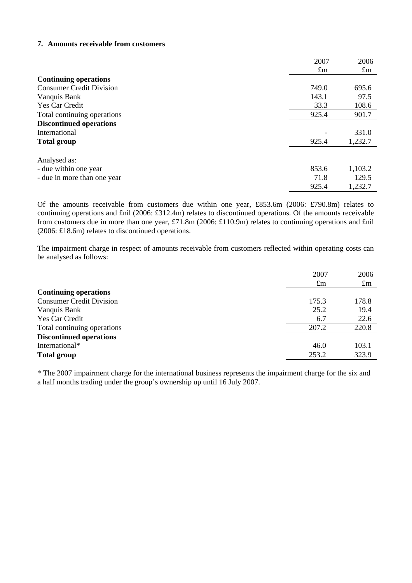### **7. Amounts receivable from customers**

|                                 | 2007        | 2006        |
|---------------------------------|-------------|-------------|
|                                 | $\pounds$ m | $\pounds$ m |
| <b>Continuing operations</b>    |             |             |
| <b>Consumer Credit Division</b> | 749.0       | 695.6       |
| Vanquis Bank                    | 143.1       | 97.5        |
| <b>Yes Car Credit</b>           | 33.3        | 108.6       |
| Total continuing operations     | 925.4       | 901.7       |
| <b>Discontinued operations</b>  |             |             |
| International                   |             | 331.0       |
| <b>Total group</b>              | 925.4       | 1,232.7     |
| Analysed as:                    |             |             |
| - due within one year           | 853.6       | 1,103.2     |
| - due in more than one year     | 71.8        | 129.5       |
|                                 | 925.4       | 1,232.7     |

Of the amounts receivable from customers due within one year, £853.6m (2006: £790.8m) relates to continuing operations and £nil (2006: £312.4m) relates to discontinued operations. Of the amounts receivable from customers due in more than one year, £71.8m (2006: £110.9m) relates to continuing operations and £nil (2006: £18.6m) relates to discontinued operations.

The impairment charge in respect of amounts receivable from customers reflected within operating costs can be analysed as follows:

| <b>Continuing operations</b>                      | 2006<br>$\pounds$ m |
|---------------------------------------------------|---------------------|
|                                                   |                     |
| <b>Consumer Credit Division</b><br>178.8<br>175.3 |                     |
| 25.2<br>19.4<br>Vanquis Bank                      |                     |
| Yes Car Credit<br>22.6<br>6.7                     |                     |
| 220.8<br>Total continuing operations<br>207.2     |                     |
| <b>Discontinued operations</b>                    |                     |
| International*<br>103.1<br>46.0                   |                     |
| 323.9<br>253.2<br><b>Total group</b>              |                     |

\* The 2007 impairment charge for the international business represents the impairment charge for the six and a half months trading under the group's ownership up until 16 July 2007.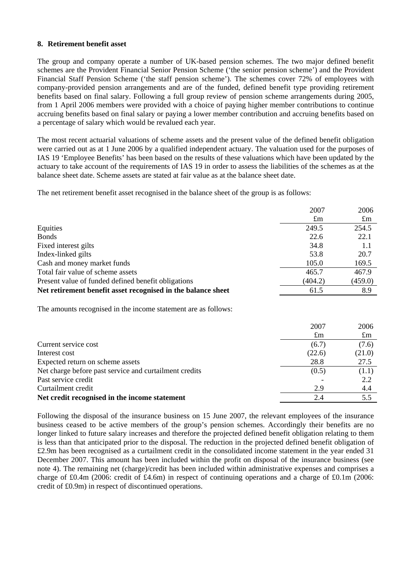### **8. Retirement benefit asset**

The group and company operate a number of UK-based pension schemes. The two major defined benefit schemes are the Provident Financial Senior Pension Scheme ('the senior pension scheme') and the Provident Financial Staff Pension Scheme ('the staff pension scheme'). The schemes cover 72% of employees with company-provided pension arrangements and are of the funded, defined benefit type providing retirement benefits based on final salary. Following a full group review of pension scheme arrangements during 2005, from 1 April 2006 members were provided with a choice of paying higher member contributions to continue accruing benefits based on final salary or paying a lower member contribution and accruing benefits based on a percentage of salary which would be revalued each year.

The most recent actuarial valuations of scheme assets and the present value of the defined benefit obligation were carried out as at 1 June 2006 by a qualified independent actuary. The valuation used for the purposes of IAS 19 'Employee Benefits' has been based on the results of these valuations which have been updated by the actuary to take account of the requirements of IAS 19 in order to assess the liabilities of the schemes as at the balance sheet date. Scheme assets are stated at fair value as at the balance sheet date.

The net retirement benefit asset recognised in the balance sheet of the group is as follows:

|                                                              | 2007        | 2006        |
|--------------------------------------------------------------|-------------|-------------|
|                                                              | $\pounds$ m | $\pounds$ m |
| Equities                                                     | 249.5       | 254.5       |
| <b>Bonds</b>                                                 | 22.6        | 22.1        |
| Fixed interest gilts                                         | 34.8        | 1.1         |
| Index-linked gilts                                           | 53.8        | 20.7        |
| Cash and money market funds                                  | 105.0       | 169.5       |
| Total fair value of scheme assets                            | 465.7       | 467.9       |
| Present value of funded defined benefit obligations          | (404.2)     | (459.0)     |
| Net retirement benefit asset recognised in the balance sheet | 61.5        | 8.9         |

The amounts recognised in the income statement are as follows:

|                                                        | 2007        | 2006        |
|--------------------------------------------------------|-------------|-------------|
|                                                        | $\pounds$ m | $\pounds$ m |
| Current service cost                                   | (6.7)       | (7.6)       |
| Interest cost                                          | (22.6)      | (21.0)      |
| Expected return on scheme assets                       | 28.8        | 27.5        |
| Net charge before past service and curtailment credits | (0.5)       | (1.1)       |
| Past service credit                                    |             | 2.2         |
| Curtailment credit                                     | 2.9         | 4.4         |
| Net credit recognised in the income statement          | 2.4         | 5.5         |
|                                                        |             |             |

Following the disposal of the insurance business on 15 June 2007, the relevant employees of the insurance business ceased to be active members of the group's pension schemes. Accordingly their benefits are no longer linked to future salary increases and therefore the projected defined benefit obligation relating to them is less than that anticipated prior to the disposal. The reduction in the projected defined benefit obligation of £2.9m has been recognised as a curtailment credit in the consolidated income statement in the year ended 31 December 2007. This amount has been included within the profit on disposal of the insurance business (see note 4). The remaining net (charge)/credit has been included within administrative expenses and comprises a charge of £0.4m (2006: credit of £4.6m) in respect of continuing operations and a charge of £0.1m (2006: credit of £0.9m) in respect of discontinued operations.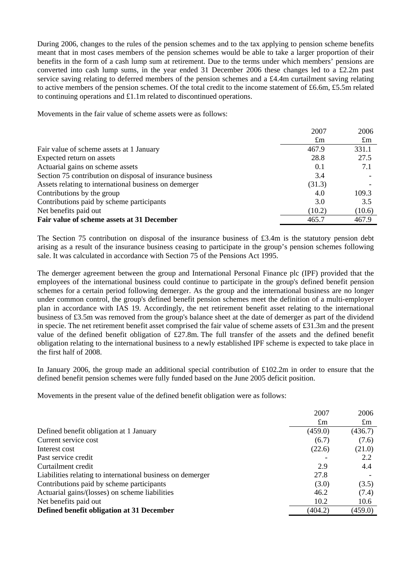During 2006, changes to the rules of the pension schemes and to the tax applying to pension scheme benefits meant that in most cases members of the pension schemes would be able to take a larger proportion of their benefits in the form of a cash lump sum at retirement. Due to the terms under which members' pensions are converted into cash lump sums, in the year ended 31 December 2006 these changes led to a £2.2m past service saving relating to deferred members of the pension schemes and a £4.4m curtailment saving relating to active members of the pension schemes. Of the total credit to the income statement of £6.6m, £5.5m related to continuing operations and £1.1m related to discontinued operations.

Movements in the fair value of scheme assets were as follows:

|                                                           | 2007        | 2006        |
|-----------------------------------------------------------|-------------|-------------|
|                                                           | $\pounds$ m | $\pounds$ m |
| Fair value of scheme assets at 1 January                  | 467.9       | 331.1       |
| Expected return on assets                                 | 28.8        | 27.5        |
| Actuarial gains on scheme assets                          | 0.1         | 7.1         |
| Section 75 contribution on disposal of insurance business | 3.4         |             |
| Assets relating to international business on demerger     | (31.3)      |             |
| Contributions by the group                                | 4.0         | 109.3       |
| Contributions paid by scheme participants                 | 3.0         | 3.5         |
| Net benefits paid out                                     | (10.2)      | (10.6)      |
| Fair value of scheme assets at 31 December                | 465.7       | 467.9       |

The Section 75 contribution on disposal of the insurance business of £3.4m is the statutory pension debt arising as a result of the insurance business ceasing to participate in the group's pension schemes following sale. It was calculated in accordance with Section 75 of the Pensions Act 1995.

The demerger agreement between the group and International Personal Finance plc (IPF) provided that the employees of the international business could continue to participate in the group's defined benefit pension schemes for a certain period following demerger. As the group and the international business are no longer under common control, the group's defined benefit pension schemes meet the definition of a multi-employer plan in accordance with IAS 19. Accordingly, the net retirement benefit asset relating to the international business of £3.5m was removed from the group's balance sheet at the date of demerger as part of the dividend in specie. The net retirement benefit asset comprised the fair value of scheme assets of £31.3m and the present value of the defined benefit obligation of £27.8m. The full transfer of the assets and the defined benefit obligation relating to the international business to a newly established IPF scheme is expected to take place in the first half of 2008.

In January 2006, the group made an additional special contribution of £102.2m in order to ensure that the defined benefit pension schemes were fully funded based on the June 2005 deficit position.

Movements in the present value of the defined benefit obligation were as follows:

|                                                            | 2007        | 2006        |
|------------------------------------------------------------|-------------|-------------|
|                                                            | $\pounds$ m | $\pounds$ m |
| Defined benefit obligation at 1 January                    | (459.0)     | (436.7)     |
| Current service cost                                       | (6.7)       | (7.6)       |
| Interest cost                                              | (22.6)      | (21.0)      |
| Past service credit                                        |             | 2.2         |
| Curtailment credit                                         | 2.9         | 4.4         |
| Liabilities relating to international business on demerger | 27.8        |             |
| Contributions paid by scheme participants                  | (3.0)       | (3.5)       |
| Actuarial gains/(losses) on scheme liabilities             | 46.2        | (7.4)       |
| Net benefits paid out                                      | 10.2        | 10.6        |
| Defined benefit obligation at 31 December                  | (404.2)     | (459.0)     |
|                                                            |             |             |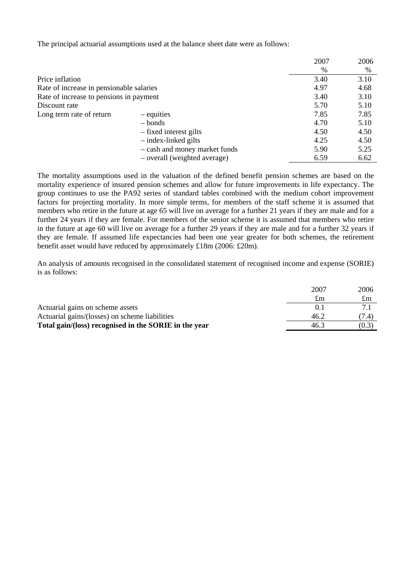The principal actuarial assumptions used at the balance sheet date were as follows:

|                                          |                               | 2007 | 2006 |
|------------------------------------------|-------------------------------|------|------|
|                                          |                               | $\%$ | $\%$ |
| Price inflation                          |                               | 3.40 | 3.10 |
| Rate of increase in pensionable salaries |                               | 4.97 | 4.68 |
| Rate of increase to pensions in payment  |                               | 3.40 | 3.10 |
| Discount rate                            |                               | 5.70 | 5.10 |
| Long term rate of return                 | – equities                    | 7.85 | 7.85 |
|                                          | $-$ bonds                     | 4.70 | 5.10 |
|                                          | - fixed interest gilts        | 4.50 | 4.50 |
|                                          | $-$ index-linked gilts        | 4.25 | 4.50 |
|                                          | - cash and money market funds | 5.90 | 5.25 |
|                                          | - overall (weighted average)  | 6.59 | 6.62 |

The mortality assumptions used in the valuation of the defined benefit pension schemes are based on the mortality experience of insured pension schemes and allow for future improvements in life expectancy. The group continues to use the PA92 series of standard tables combined with the medium cohort improvement factors for projecting mortality. In more simple terms, for members of the staff scheme it is assumed that members who retire in the future at age 65 will live on average for a further 21 years if they are male and for a further 24 years if they are female. For members of the senior scheme it is assumed that members who retire in the future at age 60 will live on average for a further 29 years if they are male and for a further 32 years if they are female. If assumed life expectancies had been one year greater for both schemes, the retirement benefit asset would have reduced by approximately £18m (2006: £20m).

An analysis of amounts recognised in the consolidated statement of recognised income and expense (SORIE) is as follows:

|                                                       | 2007<br>£m | 2006<br>$\pounds$ m |
|-------------------------------------------------------|------------|---------------------|
| Actuarial gains on scheme assets                      | 0.1        |                     |
| Actuarial gains/(losses) on scheme liabilities        | 46.2       | (7.4)               |
| Total gain/(loss) recognised in the SORIE in the year | 46.3       | (0.3)               |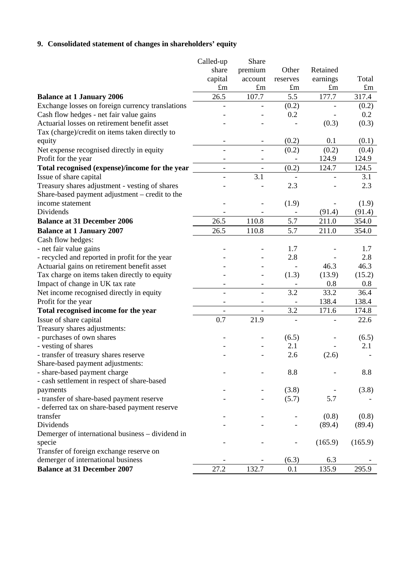# **9. Consolidated statement of changes in shareholders' equity**

|                                                  | Called-up                | Share                    |                              |             |             |
|--------------------------------------------------|--------------------------|--------------------------|------------------------------|-------------|-------------|
|                                                  | share                    | premium                  | Other                        | Retained    |             |
|                                                  | capital                  | account                  | reserves                     | earnings    | Total       |
|                                                  | $\pounds$ m              | $\pounds$ m              | $\pounds$ m                  | $\pounds$ m | $\pounds$ m |
| <b>Balance at 1 January 2006</b>                 | 26.5                     | 107.7                    | 5.5                          | 177.7       | 317.4       |
| Exchange losses on foreign currency translations |                          |                          | (0.2)                        |             | (0.2)       |
| Cash flow hedges - net fair value gains          |                          |                          | 0.2                          |             | 0.2         |
| Actuarial losses on retirement benefit asset     |                          |                          |                              | (0.3)       | (0.3)       |
| Tax (charge)/credit on items taken directly to   |                          |                          |                              |             |             |
| equity                                           |                          |                          | (0.2)                        | 0.1         | (0.1)       |
| Net expense recognised directly in equity        |                          |                          | (0.2)                        | (0.2)       | (0.4)       |
| Profit for the year                              |                          |                          |                              | 124.9       | 124.9       |
| Total recognised (expense)/income for the year   | $\overline{\phantom{0}}$ | $\overline{\phantom{a}}$ | (0.2)                        | 124.7       | 124.5       |
| Issue of share capital                           |                          | 3.1                      | $\overline{a}$               |             | 3.1         |
| Treasury shares adjustment - vesting of shares   |                          |                          | 2.3                          |             | 2.3         |
| Share-based payment adjustment – credit to the   |                          |                          |                              |             |             |
| income statement                                 |                          |                          | (1.9)                        |             | (1.9)       |
| Dividends                                        |                          |                          |                              | (91.4)      | (91.4)      |
| <b>Balance at 31 December 2006</b>               | 26.5                     | 110.8                    | 5.7                          | 211.0       | 354.0       |
| <b>Balance at 1 January 2007</b>                 | 26.5                     | 110.8                    | 5.7                          | 211.0       | 354.0       |
| Cash flow hedges:                                |                          |                          |                              |             |             |
| - net fair value gains                           |                          |                          | 1.7                          |             | 1.7         |
| - recycled and reported in profit for the year   |                          |                          | 2.8                          |             | 2.8         |
| Actuarial gains on retirement benefit asset      |                          |                          |                              | 46.3        | 46.3        |
| Tax charge on items taken directly to equity     |                          |                          | (1.3)                        | (13.9)      | (15.2)      |
| Impact of change in UK tax rate                  | $\overline{\phantom{0}}$ | $\overline{\phantom{a}}$ | $\qquad \qquad \blacksquare$ | 0.8         | 0.8         |
| Net income recognised directly in equity         |                          | $\overline{\phantom{a}}$ | 3.2                          | 33.2        | 36.4        |
| Profit for the year                              |                          |                          |                              | 138.4       | 138.4       |
| Total recognised income for the year             |                          |                          | 3.2                          | 171.6       | 174.8       |
| Issue of share capital                           | 0.7                      | 21.9                     |                              |             | 22.6        |
| Treasury shares adjustments:                     |                          |                          |                              |             |             |
| - purchases of own shares                        |                          |                          | (6.5)                        |             | (6.5)       |
| - vesting of shares                              |                          |                          | 2.1                          |             | 2.1         |
| - transfer of treasury shares reserve            |                          |                          | 2.6                          | (2.6)       |             |
| Share-based payment adjustments:                 |                          |                          |                              |             |             |
| - share-based payment charge                     |                          |                          | 8.8                          |             | 8.8         |
| - cash settlement in respect of share-based      |                          |                          |                              |             |             |
| payments                                         |                          |                          | (3.8)                        |             | (3.8)       |
| - transfer of share-based payment reserve        |                          |                          | (5.7)                        | 5.7         |             |
| - deferred tax on share-based payment reserve    |                          |                          |                              |             |             |
| transfer                                         |                          |                          |                              | (0.8)       | (0.8)       |
| Dividends                                        |                          |                          |                              | (89.4)      | (89.4)      |
| Demerger of international business – dividend in |                          |                          |                              |             |             |
| specie                                           |                          |                          |                              | (165.9)     | (165.9)     |
| Transfer of foreign exchange reserve on          |                          |                          |                              |             |             |
| demerger of international business               |                          |                          | (6.3)                        | 6.3         |             |
| <b>Balance at 31 December 2007</b>               | 27.2                     | 132.7                    | 0.1                          | 135.9       | 295.9       |